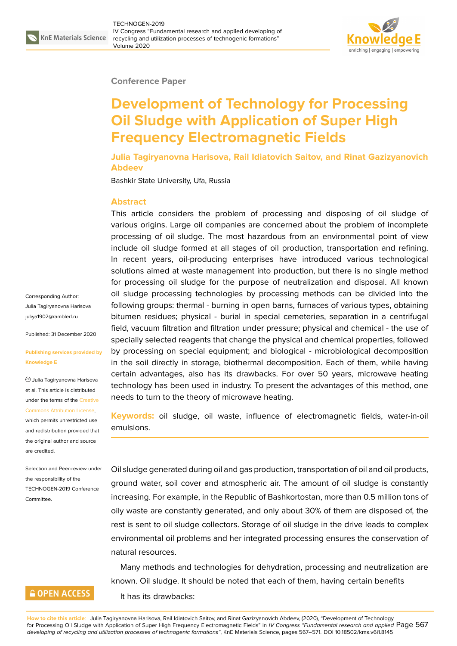

#### **Conference Paper**

# **Development of Technology for Processing Oil Sludge with Application of Super High Frequency Electromagnetic Fields**

**Julia Tagiryanovna Harisova, Rail Idiatovich Saitov, and Rinat Gazizyanovich Abdeev**

Bashkir State University, Ufa, Russia

### **Abstract**

This article considers the problem of processing and disposing of oil sludge of various origins. Large oil companies are concerned about the problem of incomplete processing of oil sludge. The most hazardous from an environmental point of view include oil sludge formed at all stages of oil production, transportation and refining. In recent years, oil-producing enterprises have introduced various technological solutions aimed at waste management into production, but there is no single method for processing oil sludge for the purpose of neutralization and disposal. All known oil sludge processing technologies by processing methods can be divided into the following groups: thermal - burning in open barns, furnaces of various types, obtaining bitumen residues; physical - burial in special cemeteries, separation in a centrifugal field, vacuum filtration and filtration under pressure; physical and chemical - the use of specially selected reagents that change the physical and chemical properties, followed by processing on special equipment; and biological - microbiological decomposition in the soil directly in storage, biothermal decomposition. Each of them, while having certain advantages, also has its drawbacks. For over 50 years, microwave heating technology has been used in industry. To present the advantages of this method, one needs to turn to the theory of microwave heating.

**Keywords:** oil sludge, oil waste, influence of electromagnetic fields, water-in-oil emulsions.

Oil sludge generated during oil and gas production, transportation of oil and oil products, ground water, soil cover and atmospheric air. The amount of oil sludge is constantly increasing. For example, in the Republic of Bashkortostan, more than 0.5 million tons of oily waste are constantly generated, and only about 30% of them are disposed of, the rest is sent to oil sludge collectors. Storage of oil sludge in the drive leads to complex environmental oil problems and her integrated processing ensures the conservation of natural resources.

Many methods and technologies for dehydration, processing and neutralization are known. Oil sludge. It should be noted that each of them, having certain benefits It has its drawbacks:

Corresponding Author: Julia Tagiryanovna Harisova juliya1902@ramblerl.ru

Published: 31 December 2020

**[Publishing services pr](mailto:juliya1902@ramblerl.ru)ovided by Knowledge E**

Julia Tagiryanovna Harisova et al. This article is distributed under the terms of the Creative Commons Attribution License,

which permits unrestricted use and redistribution provided that the original author and [source](https://creativecommons.org/licenses/by/4.0/) [are credited.](https://creativecommons.org/licenses/by/4.0/)

Selection and Peer-review under the responsibility of the TECHNOGEN-2019 Conference Committee.

## **GOPEN ACCESS**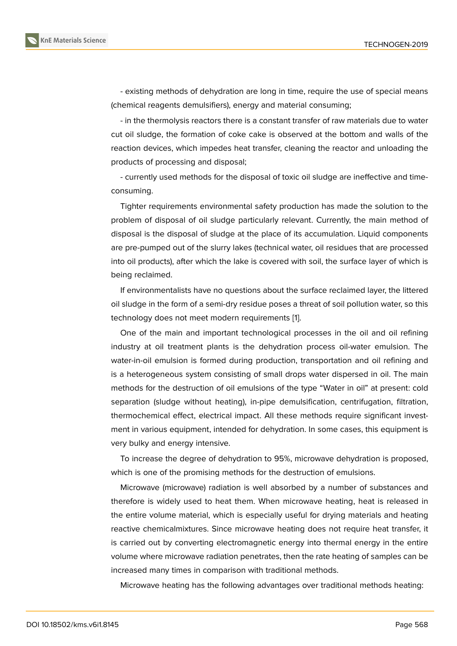- existing methods of dehydration are long in time, require the use of special means (chemical reagents demulsifiers), energy and material consuming;

- in the thermolysis reactors there is a constant transfer of raw materials due to water cut oil sludge, the formation of coke cake is observed at the bottom and walls of the reaction devices, which impedes heat transfer, cleaning the reactor and unloading the products of processing and disposal;

- currently used methods for the disposal of toxic oil sludge are ineffective and timeconsuming.

Tighter requirements environmental safety production has made the solution to the problem of disposal of oil sludge particularly relevant. Currently, the main method of disposal is the disposal of sludge at the place of its accumulation. Liquid components are pre-pumped out of the slurry lakes (technical water, oil residues that are processed into oil products), after which the lake is covered with soil, the surface layer of which is being reclaimed.

If environmentalists have no questions about the surface reclaimed layer, the littered oil sludge in the form of a semi-dry residue poses a threat of soil pollution water, so this technology does not meet modern requirements [1].

One of the main and important technological processes in the oil and oil refining industry at oil treatment plants is the dehydration process oil-water emulsion. The water-in-oil emulsion is formed during productio[n,](#page-3-0) transportation and oil refining and is a heterogeneous system consisting of small drops water dispersed in oil. The main methods for the destruction of oil emulsions of the type "Water in oil" at present: cold separation (sludge without heating), in-pipe demulsification, centrifugation, filtration, thermochemical effect, electrical impact. All these methods require significant investment in various equipment, intended for dehydration. In some cases, this equipment is very bulky and energy intensive.

To increase the degree of dehydration to 95%, microwave dehydration is proposed, which is one of the promising methods for the destruction of emulsions.

Microwave (microwave) radiation is well absorbed by a number of substances and therefore is widely used to heat them. When microwave heating, heat is released in the entire volume material, which is especially useful for drying materials and heating reactive chemicalmixtures. Since microwave heating does not require heat transfer, it is carried out by converting electromagnetic energy into thermal energy in the entire volume where microwave radiation penetrates, then the rate heating of samples can be increased many times in comparison with traditional methods.

Microwave heating has the following advantages over traditional methods heating: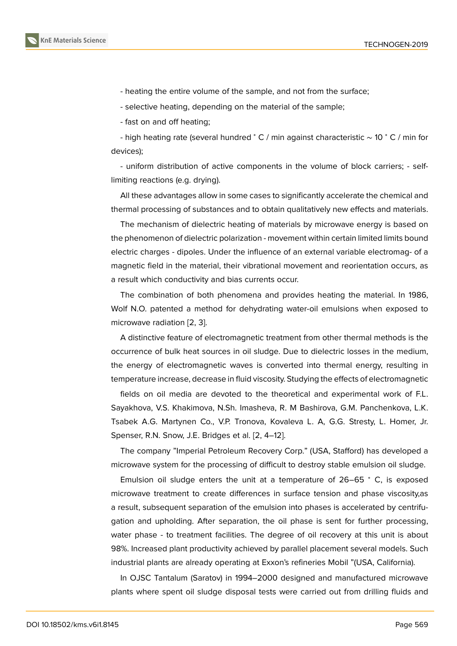- heating the entire volume of the sample, and not from the surface;

- selective heating, depending on the material of the sample;

- fast on and off heating;

- high heating rate (several hundred <sup>∘</sup> C / min against characteristic ∼ 10 <sup>∘</sup> C / min for devices);

- uniform distribution of active components in the volume of block carriers; - selflimiting reactions (e.g. drying).

All these advantages allow in some cases to significantly accelerate the chemical and thermal processing of substances and to obtain qualitatively new effects and materials.

The mechanism of dielectric heating of materials by microwave energy is based on the phenomenon of dielectric polarization - movement within certain limited limits bound electric charges - dipoles. Under the influence of an external variable electromag- of a magnetic field in the material, their vibrational movement and reorientation occurs, as a result which conductivity and bias currents occur.

The combination of both phenomena and provides heating the material. In 1986, Wolf N.O. patented a method for dehydrating water-oil emulsions when exposed to microwave radiation [2, 3].

A distinctive feature of electromagnetic treatment from other thermal methods is the occurrence of bulk heat sources in oil sludge. Due to dielectric losses in the medium, the energy of electr[om](#page-3-1)[a](#page-3-2)gnetic waves is converted into thermal energy, resulting in temperature increase, decrease in fluid viscosity. Studying the effects of electromagnetic

fields on oil media are devoted to the theoretical and experimental work of F.L. Sayakhova, V.S. Khakimova, N.Sh. Imasheva, R. M Bashirova, G.M. Panchenkova, L.K. Tsabek A.G. Martynen Co., V.P. Tronova, Kovaleva L. A, G.G. Stresty, L. Homer, Jr. Spenser, R.N. Snow, J.E. Bridges et al. [2, 4–12].

The company "Imperial Petroleum Recovery Corp." (USA, Stafford) has developed a microwave system for the processing of difficult to destroy stable emulsion oil sludge.

Emulsion oil sludge enters the uni[t a](#page-3-1)[t](#page-3-3) [a t](#page-4-0)emperature of 26–65 <sup>∘</sup> C, is exposed microwave treatment to create differences in surface tension and phase viscosity,as a result, subsequent separation of the emulsion into phases is accelerated by centrifugation and upholding. After separation, the oil phase is sent for further processing, water phase - to treatment facilities. The degree of oil recovery at this unit is about 98%. Increased plant productivity achieved by parallel placement several models. Such industrial plants are already operating at Exxon's refineries Mobil "(USA, California).

In OJSC Tantalum (Saratov) in 1994–2000 designed and manufactured microwave plants where spent oil sludge disposal tests were carried out from drilling fluids and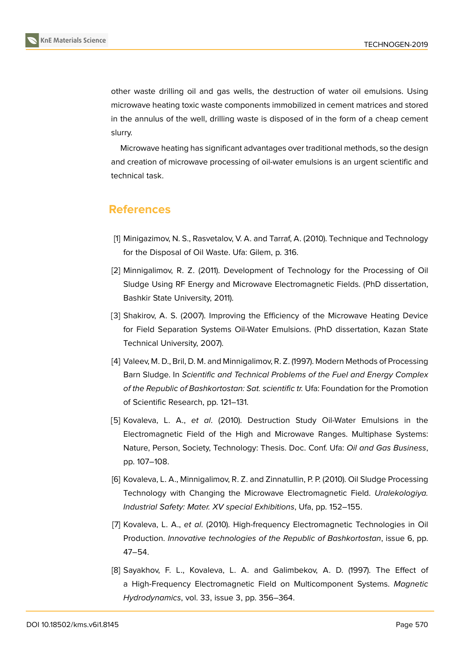

other waste drilling oil and gas wells, the destruction of water oil emulsions. Using microwave heating toxic waste components immobilized in cement matrices and stored in the annulus of the well, drilling waste is disposed of in the form of a cheap cement slurry.

Microwave heating has significant advantages over traditional methods, so the design and creation of microwave processing of oil-water emulsions is an urgent scientific and technical task.

## **References**

- <span id="page-3-0"></span>[1] Minigazimov, N. S., Rasvetalov, V. A. and Tarraf, A. (2010). Technique and Technology for the Disposal of Oil Waste. Ufa: Gilem, p. 316.
- <span id="page-3-1"></span>[2] Minnigalimov, R. Z. (2011). Development of Technology for the Processing of Oil Sludge Using RF Energy and Microwave Electromagnetic Fields. (PhD dissertation, Bashkir State University, 2011).
- <span id="page-3-2"></span>[3] Shakirov, A. S. (2007). Improving the Efficiency of the Microwave Heating Device for Field Separation Systems Oil-Water Emulsions. (PhD dissertation, Kazan State Technical University, 2007).
- <span id="page-3-3"></span>[4] Valeev, M. D., Bril, D. M. and Minnigalimov, R. Z. (1997). Modern Methods of Processing Barn Sludge. In *Scientific and Technical Problems of the Fuel and Energy Complex of the Republic of Bashkortostan: Sat. scientific tr.* Ufa: Foundation for the Promotion of Scientific Research, pp. 121–131.
- [5] Kovaleva, L. A., *et al*. (2010). Destruction Study Oil-Water Emulsions in the Electromagnetic Field of the High and Microwave Ranges. Multiphase Systems: Nature, Person, Society, Technology: Thesis. Doc. Conf. Ufa: *Oil and Gas Business*, pp. 107–108.
- [6] Kovaleva, L. A., Minnigalimov, R. Z. and Zinnatullin, P. P. (2010). Oil Sludge Processing Technology with Changing the Microwave Electromagnetic Field. *Uralekologiya. Industrial Safety: Mater. XV special Exhibitions*, Ufa, pp. 152–155.
- [7] Kovaleva, L. A., *et al*. (2010). High-frequency Electromagnetic Technologies in Oil Production. *Innovative technologies of the Republic of Bashkortostan*, issue 6, pp. 47–54.
- [8] Sayakhov, F. L., Kovaleva, L. A. and Galimbekov, A. D. (1997). The Effect of a High-Frequency Electromagnetic Field on Multicomponent Systems. *Magnetic Hydrodynamics*, vol. 33, issue 3, pp. 356–364.